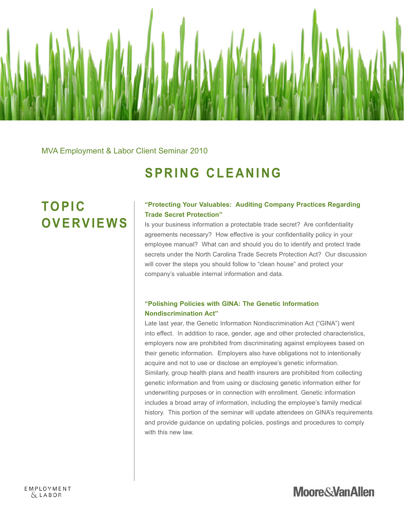

MVA Employment & Labor Client Seminar 2010

### **SPRING CLEANING**

## **TO P I C O V E RV I E W S**

#### **"Protecting Your Valuables: Auditing Company Practices Regarding Trade Secret Protection"**

Is your business information a protectable trade secret? Are confidentiality agreements necessary? How effective is your confidentiality policy in your employee manual? What can and should you do to identify and protect trade secrets under the North Carolina Trade Secrets Protection Act? Our discussion will cover the steps you should follow to "clean house" and protect your company's valuable internal information and data.

### **"Polishing Policies with GINA: The Genetic Information Nondiscrimination Act"**

Late last year, the Genetic Information Nondiscrimination Act ("GINA") went into effect. In addition to race, gender, age and other protected characteristics, employers now are prohibited from discriminating against employees based on their genetic information. Employers also have obligations not to intentionally acquire and not to use or disclose an employee's genetic information. Similarly, group health plans and health insurers are prohibited from collecting genetic information and from using or disclosing genetic information either for underwriting purposes or in connection with enrollment. Genetic information includes a broad array of information, including the employee's family medical history. This portion of the seminar will update attendees on GINA's requirements and provide guidance on updating policies, postings and procedures to comply with this new law.

**Moore&VanAllen**